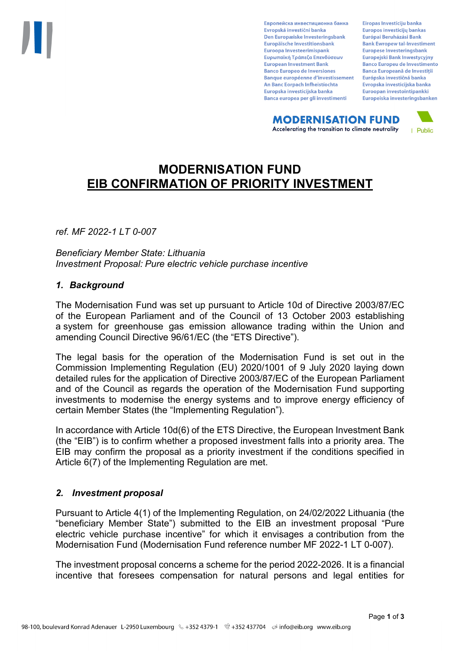Европейска инвестиционна банка Evropská investiční banka Den Europæiske Investeringsbank Europäische Investitionsbank Euroopa Investeerimispank Ευρωπαϊκή Τράπεζα Επενδύσεων **European Investment Bank Banco Europeo de Inversiones Banque européenne d'investissement** An Banc Eorpach Infheistíochta Europska investicijska banka Banca europea per gli investimenti

Eiropas Investīciju banka Europos investicijų bankas Európai Beruházási Bank **Bank Ewropew tal-Investiment** Europese Investeringsbank **Europeiski Bank Inwestycviny Banco Europeu de Investimento Banca Europeană de Investiții** Európska investičná banka Evropska investicijska banka Euroopan investointipankki Europeiska investeringsbanken

**MODERNISATION FUND** Accelerating the transition to climate neutrality



# **MODERNISATION FUND EIB CONFIRMATION OF PRIORITY INVESTMENT**

*ref. MF 2022-1 LT 0-007*

*Beneficiary Member State: Lithuania Investment Proposal: Pure electric vehicle purchase incentive* 

#### *1. Background*

The Modernisation Fund was set up pursuant to Article 10d of Directive 2003/87/EC of the European Parliament and of the Council of 13 October 2003 establishing a system for greenhouse gas emission allowance trading within the Union and amending Council Directive 96/61/EC (the "ETS Directive").

The legal basis for the operation of the Modernisation Fund is set out in the Commission Implementing Regulation (EU) 2020/1001 of 9 July 2020 laying down detailed rules for the application of Directive 2003/87/EC of the European Parliament and of the Council as regards the operation of the Modernisation Fund supporting investments to modernise the energy systems and to improve energy efficiency of certain Member States (the "Implementing Regulation").

In accordance with Article 10d(6) of the ETS Directive, the European Investment Bank (the "EIB") is to confirm whether a proposed investment falls into a priority area. The EIB may confirm the proposal as a priority investment if the conditions specified in Article 6(7) of the Implementing Regulation are met.

## *2. Investment proposal*

Pursuant to Article 4(1) of the Implementing Regulation, on 24/02/2022 Lithuania (the "beneficiary Member State") submitted to the EIB an investment proposal "Pure electric vehicle purchase incentive" for which it envisages a contribution from the Modernisation Fund (Modernisation Fund reference number MF 2022-1 LT 0-007).

The investment proposal concerns a scheme for the period 2022-2026. It is a financial incentive that foresees compensation for natural persons and legal entities for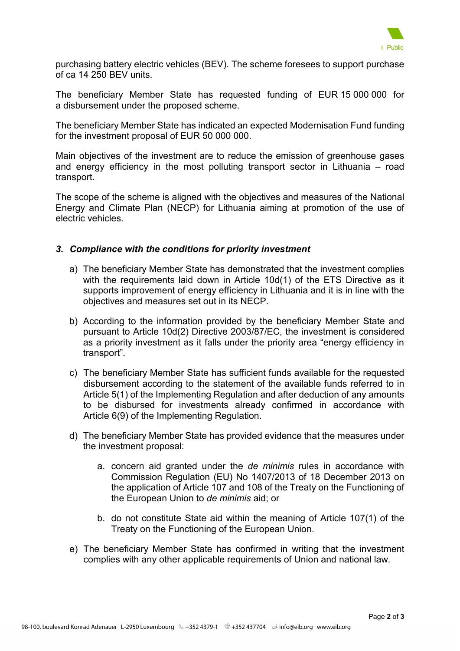

purchasing battery electric vehicles (BEV). The scheme foresees to support purchase of ca 14 250 BEV units.

The beneficiary Member State has requested funding of EUR 15 000 000 for a disbursement under the proposed scheme.

The beneficiary Member State has indicated an expected Modernisation Fund funding for the investment proposal of EUR 50 000 000.

Main objectives of the investment are to reduce the emission of greenhouse gases and energy efficiency in the most polluting transport sector in Lithuania – road transport.

The scope of the scheme is aligned with the objectives and measures of the National Energy and Climate Plan (NECP) for Lithuania aiming at promotion of the use of electric vehicles.

## *3. Compliance with the conditions for priority investment*

- a) The beneficiary Member State has demonstrated that the investment complies with the requirements laid down in Article 10d(1) of the ETS Directive as it supports improvement of energy efficiency in Lithuania and it is in line with the objectives and measures set out in its NECP.
- b) According to the information provided by the beneficiary Member State and pursuant to Article 10d(2) Directive 2003/87/EC, the investment is considered as a priority investment as it falls under the priority area "energy efficiency in transport".
- c) The beneficiary Member State has sufficient funds available for the requested disbursement according to the statement of the available funds referred to in Article 5(1) of the Implementing Regulation and after deduction of any amounts to be disbursed for investments already confirmed in accordance with Article 6(9) of the Implementing Regulation.
- d) The beneficiary Member State has provided evidence that the measures under the investment proposal:
	- a. concern aid granted under the *de minimis* rules in accordance with Commission Regulation (EU) No 1407/2013 of 18 December 2013 on the application of Article 107 and 108 of the Treaty on the Functioning of the European Union to *de minimis* aid; or
	- b. do not constitute State aid within the meaning of Article 107(1) of the Treaty on the Functioning of the European Union.
- e) The beneficiary Member State has confirmed in writing that the investment complies with any other applicable requirements of Union and national law.